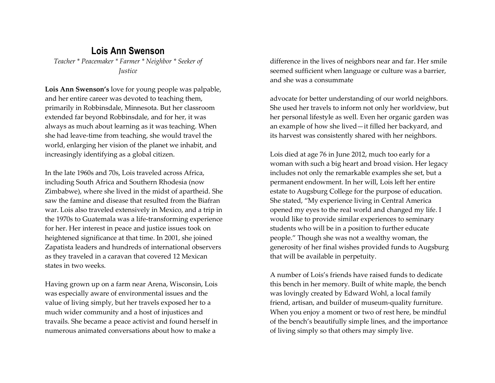## **Lois Ann Swenson**

*Teacher \* Peacemaker \* Farmer \* Neighbor \* Seeker of Justice*

**Lois Ann Swenson's** love for young people was palpable, and her entire career was devoted to teaching them, primarily in Robbinsdale, Minnesota. But her classroom extended far beyond Robbinsdale, and for her, it was always as much about learning as it was teaching. When she had leave-time from teaching, she would travel the world, enlarging her vision of the planet we inhabit, and increasingly identifying as a global citizen.

In the late 1960s and 70s, Lois traveled across Africa, including South Africa and Southern Rhodesia (now Zimbabwe), where she lived in the midst of apartheid. She saw the famine and disease that resulted from the Biafran war. Lois also traveled extensively in Mexico, and a trip in the 1970s to Guatemala was a life-transforming experience for her. Her interest in peace and justice issues took on heightened significance at that time. In 2001, she joined Zapatista leaders and hundreds of international observers as they traveled in a caravan that covered 12 Mexican states in two weeks.

Having grown up on a farm near Arena, Wisconsin, Lois was especially aware of environmental issues and the value of living simply, but her travels exposed her to a much wider community and a host of injustices and travails. She became a peace activist and found herself in numerous animated conversations about how to make a

difference in the lives of neighbors near and far. Her smile seemed sufficient when language or culture was a barrier, and she was a consummate

advocate for better understanding of our world neighbors. She used her travels to inform not only her worldview, but her personal lifestyle as well. Even her organic garden was an example of how she lived—it filled her backyard, and its harvest was consistently shared with her neighbors.

Lois died at age 76 in June 2012, much too early for a woman with such a big heart and broad vision. Her legacy includes not only the remarkable examples she set, but a permanent endowment. In her will, Lois left her entire estate to Augsburg College for the purpose of education. She stated, "My experience living in Central America opened my eyes to the real world and changed my life. I would like to provide similar experiences to seminary students who will be in a position to further educate people." Though she was not a wealthy woman, the generosity of her final wishes provided funds to Augsburg that will be available in perpetuity.

A number of Lois's friends have raised funds to dedicate this bench in her memory. Built of white maple, the bench was lovingly created by Edward Wohl, a local family friend, artisan, and builder of museum-quality furniture. When you enjoy a moment or two of rest here, be mindful of the bench's beautifully simple lines, and the importance of living simply so that others may simply live.